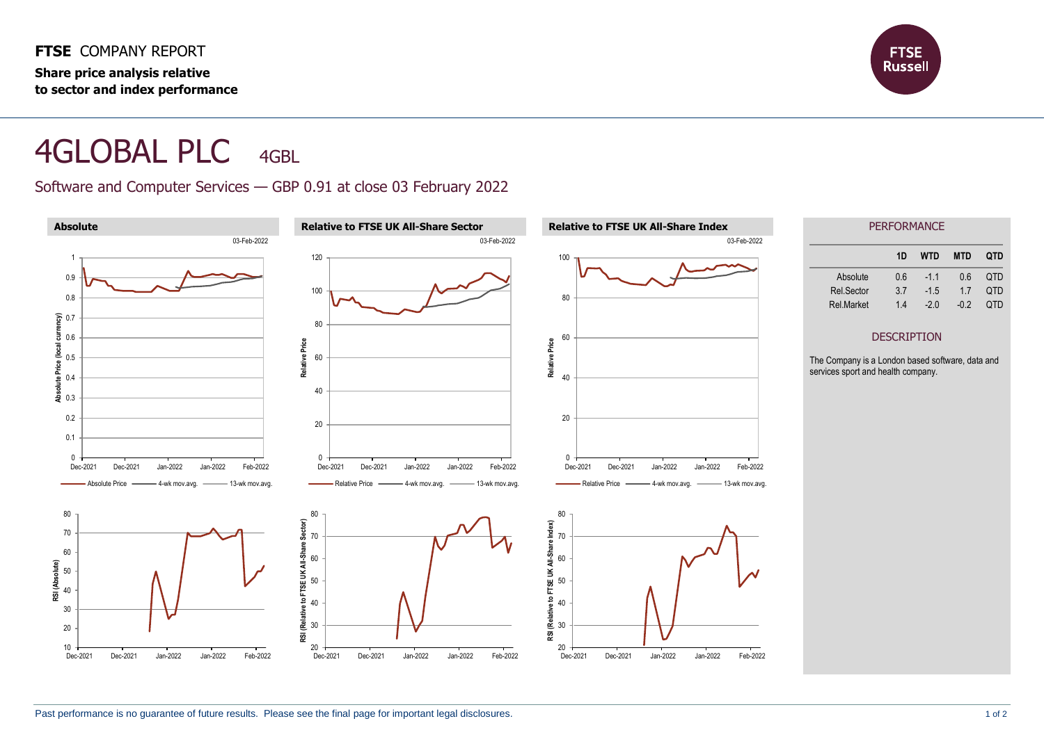**FTSE** COMPANY REPORT **Share price analysis relative to sector and index performance**



## 4GLOBAL PLC 4GBL

Software and Computer Services — GBP 0.91 at close 03 February 2022